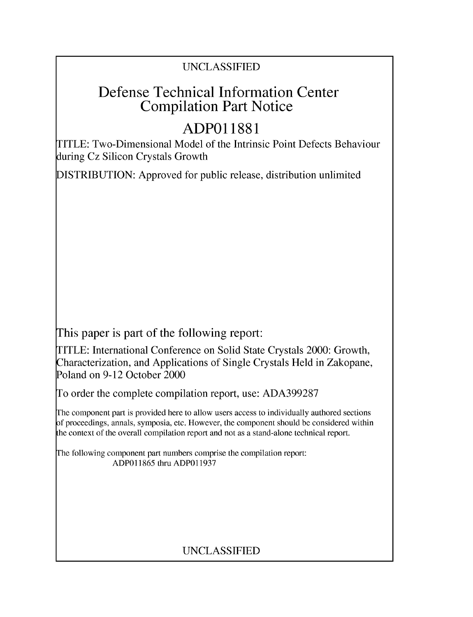### UNCLASSIFIED

## Defense Technical Information Center Compilation Part Notice

# **ADPO1 1881**

TITLE: Two-Dimensional Model of the Intrinsic Point Defects Behaviour during Cz Silicon Crystals Growth

DISTRIBUTION: Approved for public release, distribution unlimited

This paper is part of the following report:

TITLE: International Conference on Solid State Crystals 2000: Growth, Characterization, and Applications of Single Crystals Held in Zakopane, Poland on 9-12 October 2000

To order the complete compilation report, use: ADA399287

The component part is provided here to allow users access to individually authored sections f proceedings, annals, symposia, etc. However, the component should be considered within [he context of the overall compilation report and not as a stand-alone technical report.

The following component part numbers comprise the compilation report: ADP011865 thru ADP011937

## UNCLASSIFIED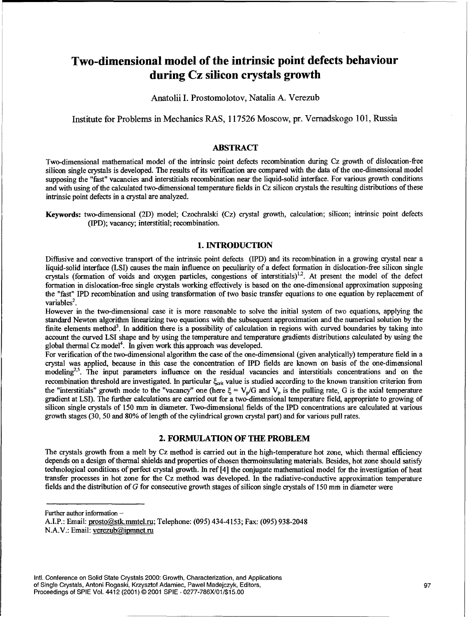### Two-dimensional model of the intrinsic point defects behaviour during Cz silicon crystals growth

Anatolii I. Prostomolotov, Natalia A. Verezub

Institute for Problems in Mechanics RAS, 117526 Moscow, pr. Vernadskogo 101, Russia

#### ABSTRACT

Two-dimensional mathematical model of the intrinsic point defects recombination during Cz growth of dislocation-free silicon single crystals is developed. The results of its verification are compared with the data of the one-dimensional model supposing the "fast" vacancies and interstitials recombination near the liquid-solid interface. For various growth conditions and with using of the calculated two-dimensional temperature fields in Cz silicon crystals the resulting distributions of these intrinsic point defects in a crystal are analyzed.

Keywords: two-dimensional (2D) model; Czochralski (Cz) crystal growth, calculation; silicon; intrinsic point defects (IPD); vacancy; interstitial; recombination.

#### 1. **INTRODUCTION**

Diffusive and convective transport of the intrinsic point defects (IPD) and its recombination in a growing crystal near a liquid-solid interface (LSI) causes the main influence on peculiarity of a defect formation in dislocation-free silicon single crystals (formation of voids and oxygen particles, congestions of interstitials)<sup>1,2</sup>. At present the model of the defec formation in dislocation-free single crystals working effectively is based on the one-dimensional approximation supposing the "fast" IPD recombination and using transformation of two basic transfer equations to one equation by replacement of variables $2$ .

However in the two-dimensional case it is more reasonable to solve the initial system of two equations, applying the standard Newton algorithm linearizing two equations with the subsequent approximation and the numerical solution by the finite elements method<sup>3</sup>. In addition there is a possibility of calculation in regions with curved boundaries by taking into account the curved LSI shape and by using the temperature and temperature gradients distributions calculated by using the global thermal Cz model<sup>4</sup>. In given work this approach was developed.

For verification of the two-dimensional algorithm the case of the one-dimensional (given analytically) temperature field in a crystal was applied, because in this case the concentration of IPD fields are known on basis of the one-dimensional  $\text{modeling}^{2,5}$ . The input parameters influence on the residual vacancies and interstitials concentrations and on the modelling<sup>2,5</sup>. recombination threshold are investigated. In particular  $\xi_{crit}$  value is studied according to the known transition criterion from the "interstitials" growth mode to the "vacancy" one (here  $\xi = V_p/G$  and  $V_p$  is the pulling rate, G is the axial temperature gradient at LSI). The fiurther calculations are carried out for a two-dimensional temperature field, appropriate to growing of silicon single crystals of 150 mm in diameter. Two-dimensional fields of the IPD concentrations are calculated at various growth stages (30, 50 and 80% of length of the cylindrical grown crystal part) and for various pull rates.

#### 2. **FORMULATION** OF **THE** PROBLEM

The crystals growth from a melt by Cz method is carried out in the high-temperature hot zone, which thermal efficiency depends on a design of thermal shields and properties of chosen thermoinsulating materials. Besides, hot zone should satisfy technological conditions of perfect crystal growth. In ref [4] the conjugate mathematical model for the investigation of heat transfer processes in hot zone for the Cz method was developed. In the radiative-conductive approximation temperature fields and the distribution of G for consecutive growth stages of silicon single crystals of 150 mm in diameter were

Further author information  $-$ 

A.I.P.: Email: prosto@stk.mmtel.ru; Telephone: (095) 434-4153; Fax: (095) 938-2048 N.A.V.: Email: verezub@ipmnet.ru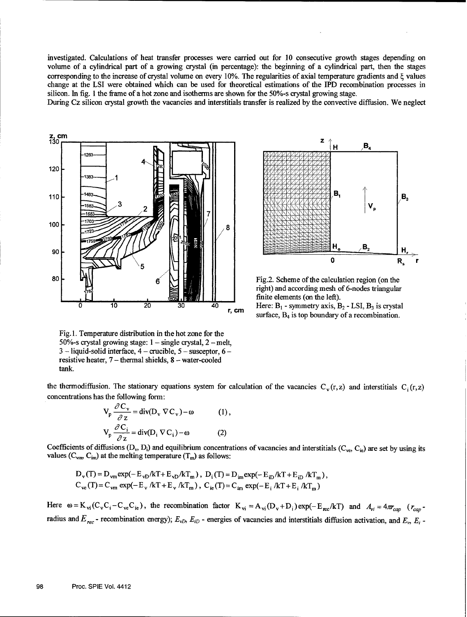investigated. Calculations of heat transfer processes were carried out for 10 consecutive growth stages depending on volume of a cylindrical part of a growing crystal (in percentage): the beginning of a cylindrical part, then the stages corresponding to the increase of crystal volume on every 10%. The regularities of axial temperature gradients and  $\xi$  values change at the LSI were obtained which can be used for theoretical estimations of the IPD recombination processes in silicon. In fig. 1 the frame of a hot zone and isotherms are shown for the 50%-s crystal growing stage.

During Cz silicon crystal growth the vacancies and interstitials transfer is realized by the convective diffusion. We neglect





right) and according mesh of 6-nodes triangular finite elements (on the left).

surface,  $B_4$  is top boundary of a recombination.

Fig. 1. Temperature distribution in the hot zone for the 50%-s crystal growing stage:  $1 -$  single crystal,  $2 -$ melt, 3 - liquid-solid interface, 4 - crucible, 5 - susceptor, 6  resistive heater,  $7$  – thermal shields,  $8$  – water-cooled tank.

the thermodiffusion. The stationary equations system for calculation of the vacancies  $C_v(r,z)$  and interstitials  $C_i(r,z)$ concentrations has the following form:

$$
V_{p} \frac{\partial C_{v}}{\partial z} = \text{div}(D_{v} \nabla C_{v}) - \omega \qquad (1),
$$
  

$$
V_{p} \frac{\partial C_{i}}{\partial z} = \text{div}(D_{i} \nabla C_{i}) - \omega \qquad (2)
$$

Coefficients of diffusions  $(D_v, D_i)$  and equilibrium concentrations of vacancies and interstitials  $(C_{ve}, C_{ie})$  are set by using its values  $(C_{\text{vm}}, C_{\text{im}})$  at the melting temperature  $(T_m)$  as follows:

$$
D_{v}(T) = D_{vm} \exp(-E_{vD}/kT + E_{vD}/kT_m), \ D_{i}(T) = D_{im} \exp(-E_{iD}/kT + E_{iD}/kT_m),
$$
  
\n
$$
C_{ve}(T) = C_{vm} \exp(-E_{v}/kT + E_{v}/kT_m), \ C_{ie}(T) = C_{im} \exp(-E_{i}/kT + E_{i}/kT_m)
$$

Here  $\omega = K_{vi}(C_vC_i - C_{ve}C_{ie})$ , the recombination factor  $K_{vi} = A_{vi}(D_v + D_i)exp(-E_{rec}/kT)$  and  $A_{vi} = 4\pi c_{cap}$  ( $r_{cap}$ radius and  $E_{rec}$  - recombination energy);  $E_{vD}$ ,  $E_{iD}$  - energies of vacancies and interstitials diffusion activation, and  $E_v$ ,  $E_i$ .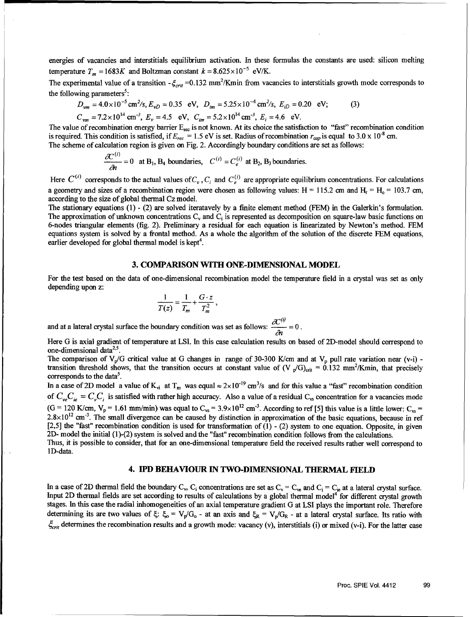energies of vacancies and interstitials equilibrium activation. In these formulas the constants are used: silicon melting temperature  $T_m = 1683K$  and Boltzman constant  $k = 8.625 \times 10^{-5}$  eV/K.

The experimental value of a transition  $-\xi_{crit}$  =0.132 mm<sup>2</sup>/Kmin from vacancies to interstitials growth mode corresponds to the following parameters<sup>5</sup>:

$$
D_{vm} = 4.0 \times 10^{-5} \text{ cm}^2/\text{s}, E_{vD} = 0.35 \text{ eV}, D_{im} = 5.25 \times 10^{-4} \text{ cm}^2/\text{s}, E_{iD} = 0.20 \text{ eV}; \tag{3}
$$

 $C_{vm} = 7.2 \times 10^{14}$  cm<sup>-3</sup>,  $E_v = 4.5$  eV,  $C_{im} = 5.2 \times 10^{14}$  cm<sup>-3</sup>,  $E_i = 4.6$  eV.

The value of recombination energy barrier  $E_{rec}$  is not known. At its choice the satisfaction to "fast" recombination condition is required. This condition is satisfied, if  $E_{rec} = 1.5$  eV is set. Radius of recombination  $r_{cap}$  is equal to 3.0 x 10<sup>-8</sup> cm. The scheme of calculation region is given on Fig. 2. Accordingly boundary conditions are set as follows:

$$
\frac{\partial C^{(i)}}{\partial t} = 0
$$
 at B<sub>1</sub>, B<sub>4</sub> boundaries,  $C^{(i)} = C_e^{(i)}$  at B<sub>2</sub>, B<sub>3</sub> boundaries.

Here  $C^{(i)}$  corresponds to the actual values of  $C_v$ ,  $C_i$  and  $C^{(i)}_e$  are appropriate equilibrium concentrations. For calculations a geometry and sizes of a recombination region were chosen as following values: H = 115.2 cm and H<sub>r</sub> = H<sub>0</sub> = 103.7 cm, according to the size of global thermal Cz model.

The stationary equations (1) - (2) are solved iteratavely by a finite element method (FEM) in the Galerkin's formulation. The approximation of unknown concentrations **C,** and **Ci** is represented as decomposition on square-law basic functions on 6-nodes triangular elements (fig. 2). Preliminary a residual for each equation is linearizated by Newton's method. FEM equations system is solved by a frontal method. As a whole the algorithm of the solution of the discrete FEM equations, earlier developed for global thermal model is kept<sup>4</sup>.

#### **3.** COMPARISON WITH **ONE-DIMENSIONAL** MODEL

For the test based on the data of one-dimensional recombination model the temperature field in a crystal was set as only depending upon z:

$$
\frac{1}{T(z)} = \frac{1}{T_m} + \frac{G \cdot z}{T_m^2},
$$

and at a lateral crystal surface the boundary condition was set as follows:  $\frac{\partial C^{(i)}}{\partial r} = 0$ .

Here G is axial gradient of temperature at LSI. In this case calculation results on based of 2D-model should correspond to one-dimensional data $2.5$ .

The comparison of  $V_p/G$  critical value at G changes in range of 30-300 K/cm and at  $V_p$  pull rate variation near (v-i) transition threshold shows, that the transition occurs at constant value of  $(V_p/G)_{crit} = 0.132$  mm<sup>2</sup>/Kmin, that precisely corresponds to the data.

In a case of 2D model a value of K<sub>yi</sub> at T<sub>m</sub> was equal  $\approx 2 \times 10^{-19}$  cm<sup>3</sup>/s and for this value a "fast" recombination condition of  $C_{ve}C_{ie} = C_vC_i$  is satisfied with rather high accuracy. Also a value of a residual  $C_{vs}$  concentration for a vacancies mode  $(G = 120 \text{ K/cm}, V_p = 1.61 \text{ mm/min})$  was equal to  $C_{vs} = 3.9 \times 10^{12} \text{ cm}^{-3}$ . According to ref [5] this value is a little lower:  $C_{vs} = 2.8 \times 10^{12} \text{ cm}^{-3}$ . The small divergence can be caused by distinction in approximation o [2,5] the "fast" recombination condition is used for transformation of **(1)** - (2) system to one equation. Opposite, in given 2D- model the initial (1)-(2) system is solved and the "fast" recombination condition follows from the calculations. Thus, it is possible to consider, that for an one-dimensional temperature field the received results rather well correspond to

ID-data.

#### 4. IPD BEHAVIOUR **IN TWO-DIMENSIONAL** THERMAL **FIELD**

In a case of 2D thermal field the boundary  $C_y$ ,  $C_i$  concentrations are set as  $C_y = C_{ye}$  and  $C_i = C_{ie}$  at a lateral crystal surface. Input 2D thermal fields are set according to results of calculations by a global thermal model<sup>4</sup> for different crystal growth stages. In this case the radial inhomogeneities of an axial temperature gradient G at LSI plays the important role. Therefore determining its are two values of  $\xi$ :  $\xi_o = V_p/G_o$  - at an axis and  $\xi_R = V_p/G_R$  - at a lateral crystal surface. Its ratio with  $\zeta_{crit}$  determines the recombination results and a growth mode: vacancy (v), interstitials (i) or mixed (v-i). For the latter case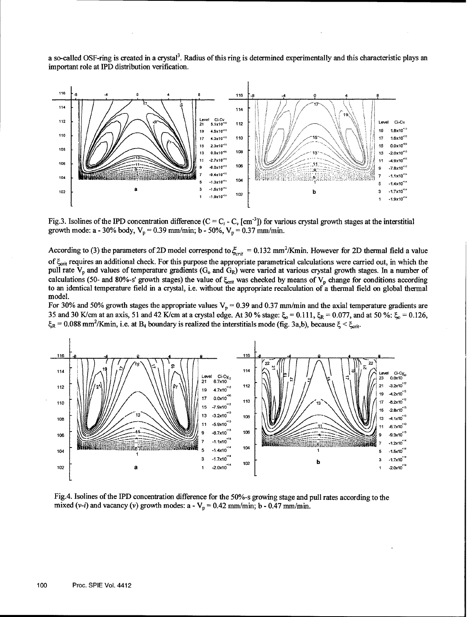a so-called OSF-ring is created in a crystal<sup>3</sup>. Radius of this ring is determined experimentally and this characteristic plays an important role at IPD distribution verification.



Fig.3. Isolines of the IPD concentration difference  $(C = C_i - C_i$  [cm<sup>-3</sup>]) for various crystal growth stages at the interstitial growth mode: a - 30% body,  $V_p = 0.39$  mm/min; b - 50%,  $V_p = 0.37$  mm/min.

According to (3) the parameters of 2D model correspond to  $\xi_{\text{max}} = 0.132 \text{ mm}^2/\text{K}$ min. However for 2D thermal field a value of  $\xi_{\text{crit}}$  requires an additional check. For this purpose the appropriate parametrical calculations were carried out, in which the pull rate  $V_p$  and values of temperature gradients  $(G_o$  and  $G_R)$  were varied at various crystal growth stages. In a number of calculations (50- and 80%-s' growth stages) the value of  $\xi_{crit}$  was checked by means of  $V_p$  change for conditions according to an identical temperature field in a crystal, i.e. without the appropriate recalculation of a thermal field on global thermal model.

For 30% and 50% growth stages the appropriate values  $V_p = 0.39$  and 0.37 mm/min and the axial temperature gradients are 35 and 30 K/cm at an axis, 51 and 42 K/cm at a crystal edge. At 30 % stage:  $\xi_0 = 0.111$ ,  $\xi_R = 0.077$ , and at 50 %:  $\xi_0 = 0.126$ ,  $\xi_R$  = 0.088 mm<sup>2</sup>/Kmin, i.e. at B<sub>4</sub> boundary is realized the interstitials mode (fig. 3a,b), because  $\xi$  <



Fig.4. Isolines of the IPD concentration difference for the 50%-s growing stage and pull rates according to the mixed (*v-i*) and vacancy (*v*) growth modes:  $a - V_p = 0.42$  mm/min;  $b - 0.47$  mm/min.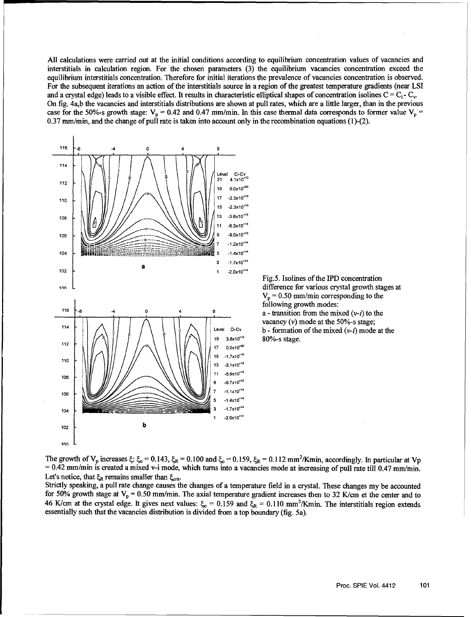All calculations were carried out at the initial conditions according to equilibrium concentration values of vacancies and interstitials in calculation region. For the chosen parameters (3) the equilibrium vacancies concentration exceed the equilibrium interstitials concentration. Therefore for initial iterations the prevalence of vacancies concentration is observed. For the subsequent iterations an action of the interstitials source in a region of the greatest temperature gradients (near LSI and a crystal edge) leads to a visible effect. It results in characteristic elliptical shapes of concentration isolines C **= Ci-** Cv. On fig. 4ab the vacancies and interstitials distributions are shown at pull rates, which are a little larger, than in the previous case for the 50%-s growth stage:  $V_p = 0.42$  and 0.47 mm/min. In this case thermal data corresponds to former value  $V_p =$ 0.37 mm/min, and the change of pull rate is taken into account only in the recombination equations (1)-(2).



Fig.5. Isolines of the IPD concentration  $V_p = 0.50$  mm/min corresponding to the following growth modes: vacancy  $(v)$  mode at the 50%-s stage; Level  $C_i-C_v$  **b** - formation of the mixed  $(v-i)$  mode at the

The growth of  $V_n$  increases  $\xi$ :  $\xi_n = 0.143$ ,  $\xi_R = 0.100$  and  $\xi_n = 0.159$ ,  $\xi_p = 0.112$  mm<sup>2</sup>/Kmin, accordingly. In particular at Vr  $= 0.42$  mm/min is created a mixed v-i mode, which turns into a vacancies mode at increasing of pull rate till 0.47 mm/min. Let's notice, that  $\xi_R$  remains smaller than  $\xi_{\text{crit}}$ .

Strictly speaking, a pull rate change causes the changes of a temperature field in a crystal. These changes my be accounted for 50% growth stage at  $V_p = 0.50$  mm/min. The axial temperature gradient increases then to 32 K/cm et the center and to 46 K/cm at the crystal edge. It gives next values:  $\xi_0 = 0.159$  and  $\xi_R = 0.110$  mm<sup>2</sup>/Kmin. The interstitials region extends essentially such that the vacancies distribution is divided from a top boundary (fig. 5a).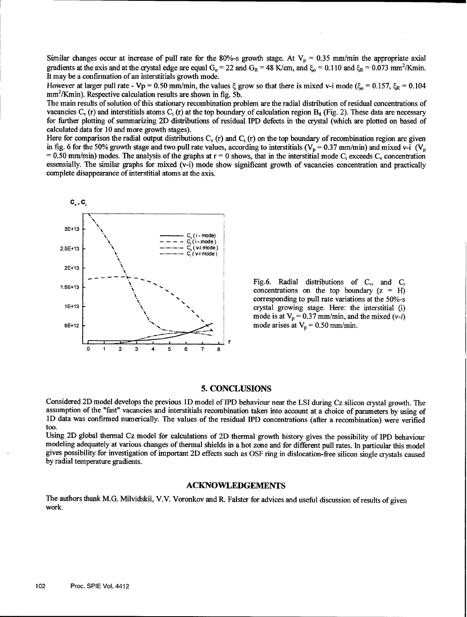Similar changes occur at increase of pull rate for the 80%-s growth stage. At  $V_p = 0.35$  mm/min the appropriate axial gradients at the axis and at the crystal edge are equal  $G_0 = 22$  and  $G_R = 48$  K/cm, and  $\xi_0 = 0.110$  and  $\xi_R = 0.073$  mm<sup>2</sup>/Kmin. It may be a confirmation of an interstitials growth mode.

However at larger pull rate - Vp = 0.50 mm/min, the values  $\xi$  grow so that there is mixed v-i mode  $(\xi_0 = 0.157, \xi_R = 0.104$ mm<sup>2</sup> /Kmin). Respective calculation results are shown in fig. **5b.**

The main results of solution of this stationary recombination problem are the radial distribution of residual concentrations of vacancies  $C_v$  (r) and interstitials atoms  $C_i$  (r) at the top boundary of calculation region  $B_4$  (Fig. 2). These data are necessary for further plotting of summarizing 2D distributions of residual IPD defects in the cr calculated data for 10 and more growth stages).

Here for comparison the radial output distributions  $C_v$  (r) and  $C_i$  (r) on the top boundary of recombination region are given in fig. 6 for the 50% growth stage and two pull rate values, according to interstitials ( $V_p =$ = 0.50 mm/min) modes. The analysis of the graphs at  $r = 0$  shows, that in the interstitial mode C<sub>i</sub> exceeds C<sub>y</sub> concentration essensially. The similar graphs for mixed (v-i) mode show significant growth of vacancies concentration and practically complete disappearance of interstitial atoms at the axis.



Fig.6. Radial distributions of  $C_v$ , and  $C_i$  concentrations on the top boundary ( $z = H$ ) corresponding to pull rate variations at the 50%-s mode is at  $V_p = 0.37$  mm/min, and the mixed (*v-i*)

#### 5. CONCLUSIONS

Considered 2D model develops the previous **ID** model of IPD behaviour near the LSI during Cz silicon crystal growth. The assumption of the "fast" vacancies and interstitials recombination taken into account at a choice of parameters by using of **1D** data was confirmed numerically. The values of the residual IPD concentrations (after a recombination) were verified too.

Using 2D global thermal Cz model for calculations of 2D thermal growth history gives the possibility of IPD behaviour modeling adequately at various changes of thermal shields in a hot zone and for different pull rates. In particular this model gives possibility for investigation of important 2D effects such as OSF ring in dislocation-free silicon single crystals caused by radial temperature gradients.

#### **ACKNOWLEDGEMENTS**

The authors thank M.G. Milvidskii, V.V. Voronkov and R. Falster for advices and useful discussion of results of given work.